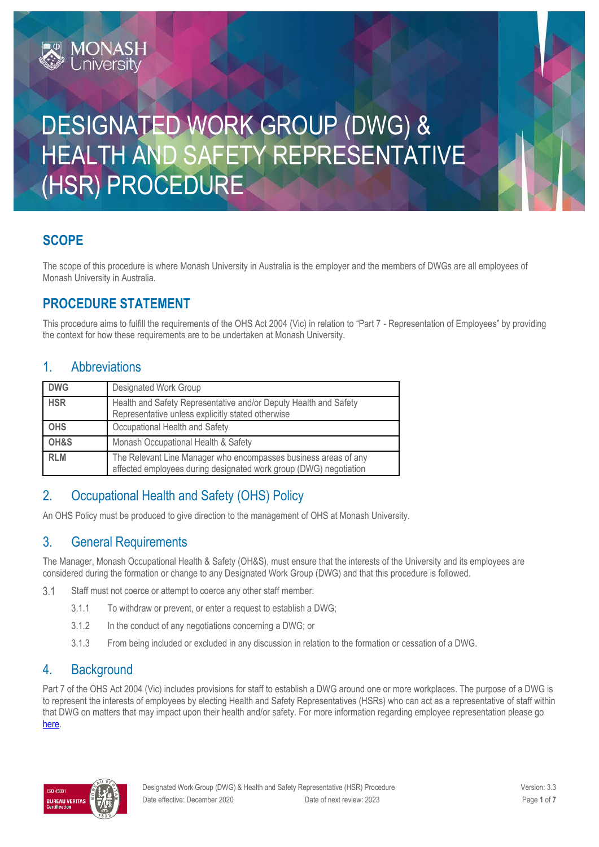# DESIGNATED WORK GROUP (DWG) & HEALTH AND SAFETY REPRESENTATIVE (HSR) PROCEDURE

### **SCOPE**

The scope of this procedure is where Monash University in Australia is the employer and the members of DWGs are all employees of Monash University in Australia.

### **PROCEDURE STATEMENT**

**MONASH**<br>University

This procedure aims to fulfill the requirements of the OHS Act 2004 (Vic) in relation to "Part 7 - Representation of Employees" by providing the context for how these requirements are to be undertaken at Monash University.

#### 1. Abbreviations

| <b>DWG</b> | Designated Work Group                                                                                                                |  |
|------------|--------------------------------------------------------------------------------------------------------------------------------------|--|
| <b>HSR</b> | Health and Safety Representative and/or Deputy Health and Safety<br>Representative unless explicitly stated otherwise                |  |
| <b>OHS</b> | Occupational Health and Safety                                                                                                       |  |
| OH&S       | Monash Occupational Health & Safety                                                                                                  |  |
| <b>RLM</b> | The Relevant Line Manager who encompasses business areas of any<br>affected employees during designated work group (DWG) negotiation |  |

#### 2. Occupational Health and Safety (OHS) Policy

An OHS Policy must be produced to give direction to the management of OHS at Monash University.

#### 3. General Requirements

The Manager, Monash Occupational Health & Safety (OH&S), must ensure that the interests of the University and its employees are considered during the formation or change to any Designated Work Group (DWG) and that this procedure is followed.

- $3.1$ Staff must not coerce or attempt to coerce any other staff member:
	- 3.1.1 To withdraw or prevent, or enter a request to establish a DWG;
	- 3.1.2 In the conduct of any negotiations concerning a DWG; or
	- 3.1.3 From being included or excluded in any discussion in relation to the formation or cessation of a DWG.

#### 4. Background

Part 7 of the OHS Act 2004 (Vic) includes provisions for staff to establish a DWG around one or more workplaces. The purpose of a DWG is to represent the interests of employees by electing Health and Safety Representatives (HSRs) who can act as a representative of staff within that DWG on matters that may impact upon their health and/or safety. For more information regarding employee representation please go [here.](https://www.monash.edu/ohs/OHS-structure-responsibilities/employee-representation)

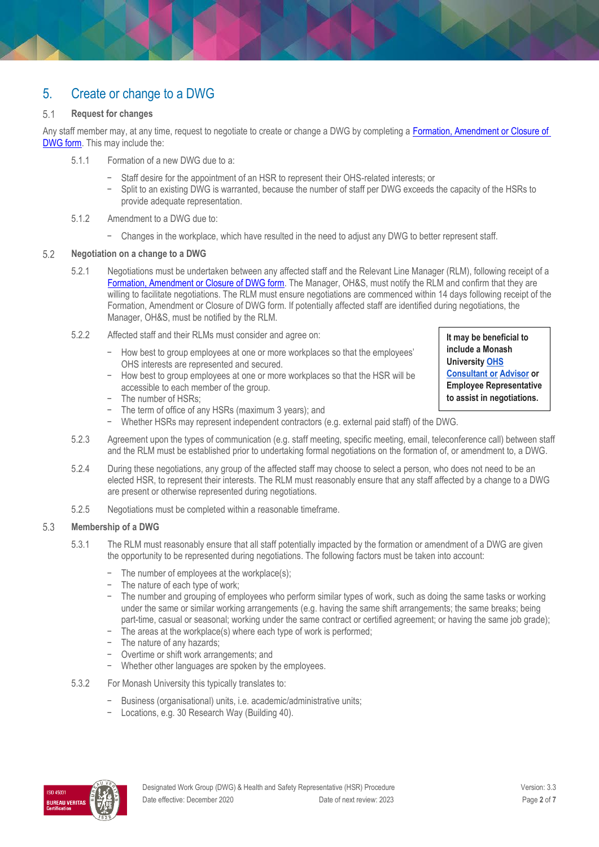### 5. Create or change to a DWG

#### $5.1$ **Request for changes**

Any staff member may, at any time, request to negotiate to create or change a DWG by completing a [Formation, Amendment or Closure of](https://forms.apps.monash.edu/frevvo/web/tn/monash.edu/u/614aac3c-8ab8-4309-9283-375663fa97d8/app/_kJUyMRqbEeiMWO8cc5Na1A/flowtype/_lA_5wRT4EeiATZqtU10ceQ?_method=post&embed=true)  [DWG form.](https://forms.apps.monash.edu/frevvo/web/tn/monash.edu/u/614aac3c-8ab8-4309-9283-375663fa97d8/app/_kJUyMRqbEeiMWO8cc5Na1A/flowtype/_lA_5wRT4EeiATZqtU10ceQ?_method=post&embed=true) This may include the:

- 5.1.1 Formation of a new DWG due to a:
	- Staff desire for the appointment of an HSR to represent their OHS-related interests; or
	- Split to an existing DWG is warranted, because the number of staff per DWG exceeds the capacity of the HSRs to provide adequate representation.

#### 5.1.2 Amendment to a DWG due to:

− Changes in the workplace, which have resulted in the need to adjust any DWG to better represent staff.

#### $5.2$ **Negotiation on a change to a DWG**

- 5.2.1 Negotiations must be undertaken between any affected staff and the Relevant Line Manager (RLM), following receipt of a [Formation, Amendment or Closure of DWG form.](https://forms.apps.monash.edu/frevvo/web/tn/monash.edu/u/614aac3c-8ab8-4309-9283-375663fa97d8/app/_kJUyMRqbEeiMWO8cc5Na1A/flowtype/_lA_5wRT4EeiATZqtU10ceQ?_method=post&embed=true) The Manager, OH&S, must notify the RLM and confirm that they are willing to facilitate negotiations. The RLM must ensure negotiations are commenced within 14 days following receipt of the Formation, Amendment or Closure of DWG form. If potentially affected staff are identified during negotiations, the Manager, OH&S, must be notified by the RLM.
- 5.2.2 Affected staff and their RLMs must consider and agree on:
	- − How best to group employees at one or more workplaces so that the employees' OHS interests are represented and secured.
	- How best to group employees at one or more workplaces so that the HSR will be accessible to each member of the group.
	- The number of HSRs:
	- The term of office of any HSRs (maximum 3 years); and
	- − Whether HSRs may represent independent contractors (e.g. external paid staff) of the DWG.
- 5.2.3 Agreement upon the types of communication (e.g. staff meeting, specific meeting, email, teleconference call) between staff and the RLM must be established prior to undertaking formal negotiations on the formation of, or amendment to, a DWG.
- 5.2.4 During these negotiations, any group of the affected staff may choose to select a person, who does not need to be an elected HSR, to represent their interests. The RLM must reasonably ensure that any staff affected by a change to a DWG are present or otherwise represented during negotiations.
- 5.2.5 Negotiations must be completed within a reasonable timeframe.

#### 5.3 **Membership of a DWG**

- 5.3.1 The RLM must reasonably ensure that all staff potentially impacted by the formation or amendment of a DWG are given the opportunity to be represented during negotiations. The following factors must be taken into account:
	- − The number of employees at the workplace(s);
	- − The nature of each type of work;
	- − The number and grouping of employees who perform similar types of work, such as doing the same tasks or working under the same or similar working arrangements (e.g. having the same shift arrangements; the same breaks; being part-time, casual or seasonal; working under the same contract or certified agreement; or having the same job grade);
	- The areas at the workplace(s) where each type of work is performed;
	- − The nature of any hazards;
	- − Overtime or shift work arrangements; and
	- Whether other languages are spoken by the employees.
- 5.3.2 For Monash University this typically translates to:
	- − Business (organisational) units, i.e. academic/administrative units;
	- − Locations, e.g. 30 Research Way (Building 40).



**It may be beneficial to include a Monash University [OHS](https://www.monash.edu/ohs/AboutUs) [Consultant or](https://www.monash.edu/ohs/AboutUs) [Advisor](https://www.monash.edu/ohs/AboutUs) or Employee Representative to assist in negotiations.**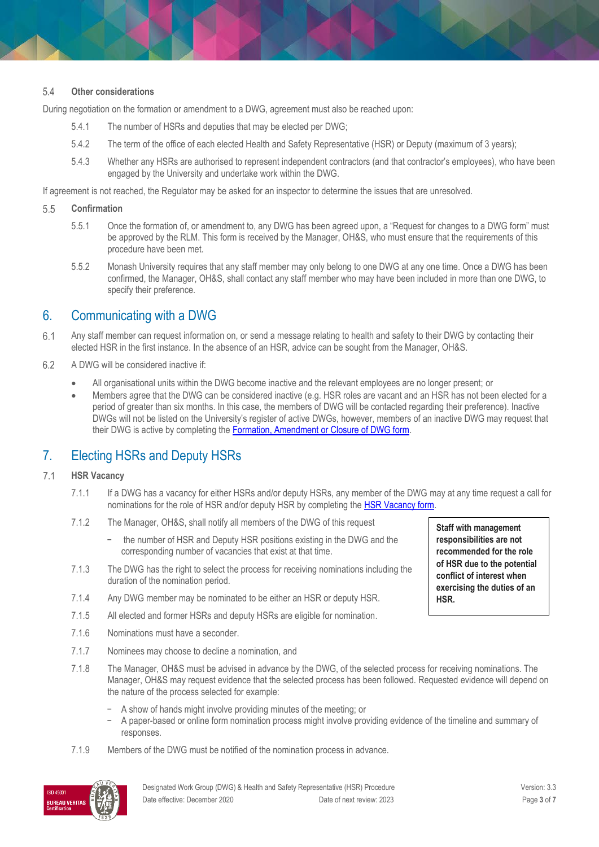#### 5.4 **Other considerations**

During negotiation on the formation or amendment to a DWG, agreement must also be reached upon:

- 5.4.1 The number of HSRs and deputies that may be elected per DWG;
- 5.4.2 The term of the office of each elected Health and Safety Representative (HSR) or Deputy (maximum of 3 years);
- 5.4.3 Whether any HSRs are authorised to represent independent contractors (and that contractor's employees), who have been engaged by the University and undertake work within the DWG.

If agreement is not reached, the Regulator may be asked for an inspector to determine the issues that are unresolved.

- 5.5 **Confirmation**
	- 5.5.1 Once the formation of, or amendment to, any DWG has been agreed upon, a "Request for changes to a DWG form" must be approved by the RLM. This form is received by the Manager, OH&S, who must ensure that the requirements of this procedure have been met.
	- 5.5.2 Monash University requires that any staff member may only belong to one DWG at any one time. Once a DWG has been confirmed, the Manager, OH&S, shall contact any staff member who may have been included in more than one DWG, to specify their preference.

#### 6. Communicating with a DWG

- $6.1$ Any staff member can request information on, or send a message relating to health and safety to their DWG by contacting their elected HSR in the first instance. In the absence of an HSR, advice can be sought from the Manager, OH&S.
- 6.2 A DWG will be considered inactive if:
	- All organisational units within the DWG become inactive and the relevant employees are no longer present; or
	- Members agree that the DWG can be considered inactive (e.g. HSR roles are vacant and an HSR has not been elected for a period of greater than six months. In this case, the members of DWG will be contacted regarding their preference). Inactive DWGs will not be listed on the University's register of active DWGs, however, members of an inactive DWG may request that their DWG is active by completing the [Formation, Amendment or Closure of DWG form.](https://forms.apps.monash.edu/frevvo/web/tn/monash.edu/u/614aac3c-8ab8-4309-9283-375663fa97d8/app/_kJUyMRqbEeiMWO8cc5Na1A/flowtype/_lA_5wRT4EeiATZqtU10ceQ?_method=post&embed=true)

#### 7. Electing HSRs and Deputy HSRs

#### $7.1$ **HSR Vacancy**

- 7.1.1 If a DWG has a vacancy for either HSRs and/or deputy HSRs, any member of the DWG may at any time request a call for nominations for the role of HSR and/or deputy HSR by completing the [HSR Vacancy form.](https://forms.apps.monash.edu/frevvo/web/tn/monash.edu/u/614aac3c-8ab8-4309-9283-375663fa97d8/app/_kJUyMRqbEeiMWO8cc5Na1A/flowtype/_PkPisRa4EeiMWO8cc5Na1A?_method=post&embed=true)
- 7.1.2 The Manager, OH&S, shall notify all members of the DWG of this request
	- the number of HSR and Deputy HSR positions existing in the DWG and the corresponding number of vacancies that exist at that time.
- 7.1.3 The DWG has the right to select the process for receiving nominations including the duration of the nomination period.
- 7.1.4 Any DWG member may be nominated to be either an HSR or deputy HSR.
- 7.1.5 All elected and former HSRs and deputy HSRs are eligible for nomination.
- 7.1.6 Nominations must have a seconder.
- 7.1.7 Nominees may choose to decline a nomination, and
- 7.1.8 The Manager, OH&S must be advised in advance by the DWG, of the selected process for receiving nominations. The Manager, OH&S may request evidence that the selected process has been followed. Requested evidence will depend on the nature of the process selected for example:
	- − A show of hands might involve providing minutes of the meeting; or
	- − A paper-based or online form nomination process might involve providing evidence of the timeline and summary of responses.
- 7.1.9 Members of the DWG must be notified of the nomination process in advance.



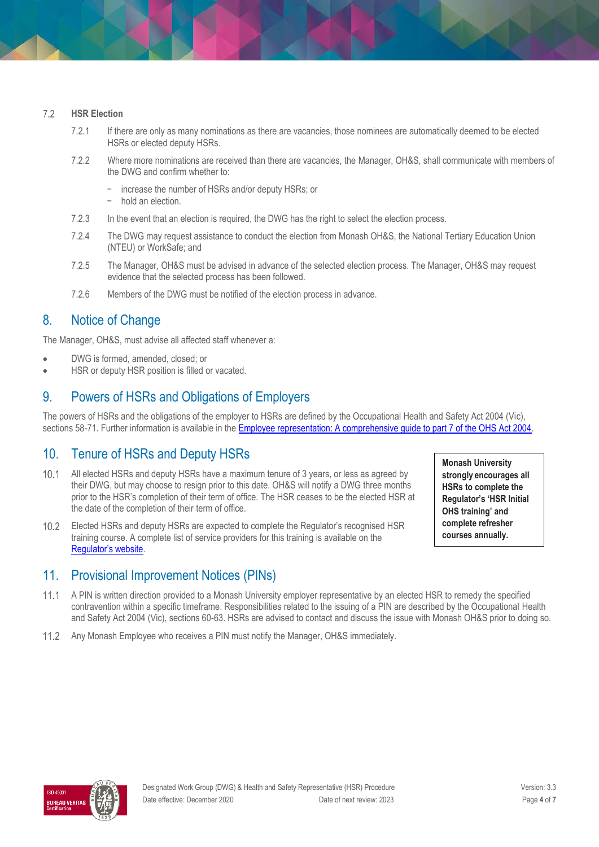#### $7.2$ **HSR Election**

- 7.2.1 If there are only as many nominations as there are vacancies, those nominees are automatically deemed to be elected HSRs or elected deputy HSRs.
- 7.2.2 Where more nominations are received than there are vacancies, the Manager, OH&S, shall communicate with members of the DWG and confirm whether to:
	- − increase the number of HSRs and/or deputy HSRs; or
	- − hold an election.
- 7.2.3 In the event that an election is required, the DWG has the right to select the election process.
- 7.2.4 The DWG may request assistance to conduct the election from Monash OH&S, the National Tertiary Education Union (NTEU) or WorkSafe; and
- 7.2.5 The Manager, OH&S must be advised in advance of the selected election process. The Manager, OH&S may request evidence that the selected process has been followed.
- 7.2.6 Members of the DWG must be notified of the election process in advance.

#### 8. Notice of Change

The Manager, OH&S, must advise all affected staff whenever a:

- DWG is formed, amended, closed; or
- HSR or deputy HSR position is filled or vacated.

#### 9. Powers of HSRs and Obligations of Employers

The powers of HSRs and the obligations of the employer to HSRs are defined by the Occupational Health and Safety Act 2004 (Vic), sections 58-71. Further information is available in the [Employee representation: A comprehensive guide to part 7 of the OHS Act 2004.](https://www.worksafe.vic.gov.au/resources/employee-representation-comprehensive-guide-part-7-ohs-act-2004)

### 10. Tenure of HSRs and Deputy HSRs

- $10.1$ All elected HSRs and deputy HSRs have a maximum tenure of 3 years, or less as agreed by their DWG, but may choose to resign prior to this date. OH&S will notify a DWG three months prior to the HSR's completion of their term of office. The HSR ceases to be the elected HSR at the date of the completion of their term of office.
- $10.2$ Elected HSRs and deputy HSRs are expected to complete the Regulator's recognised HSR training course. A complete list of service providers for this training is available on the [Regulator's website](https://www.worksafe.vic.gov.au/health-and-safety-representative-training).
- **Monash University strongly encourages all HSRs to complete the Regulator's 'HSR Initial OHS training' and complete refresher courses annually.**

#### 11. Provisional Improvement Notices (PINs)

- $11.1$ A PIN is written direction provided to a Monash University employer representative by an elected HSR to remedy the specified contravention within a specific timeframe. Responsibilities related to the issuing of a PIN are described by the Occupational Health and Safety Act 2004 (Vic), sections 60-63. HSRs are advised to contact and discuss the issue with Monash OH&S prior to doing so.
- Any Monash Employee who receives a PIN must notify the Manager, OH&S immediately.

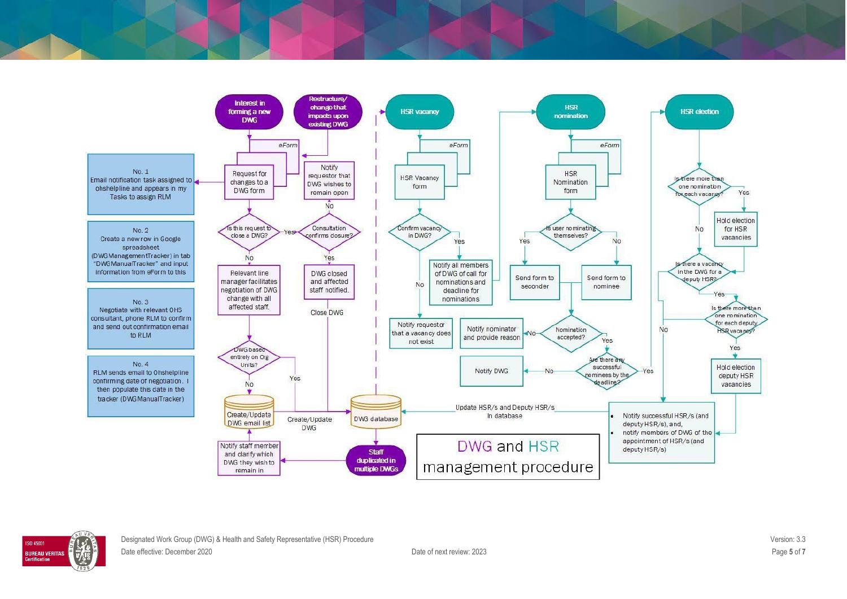

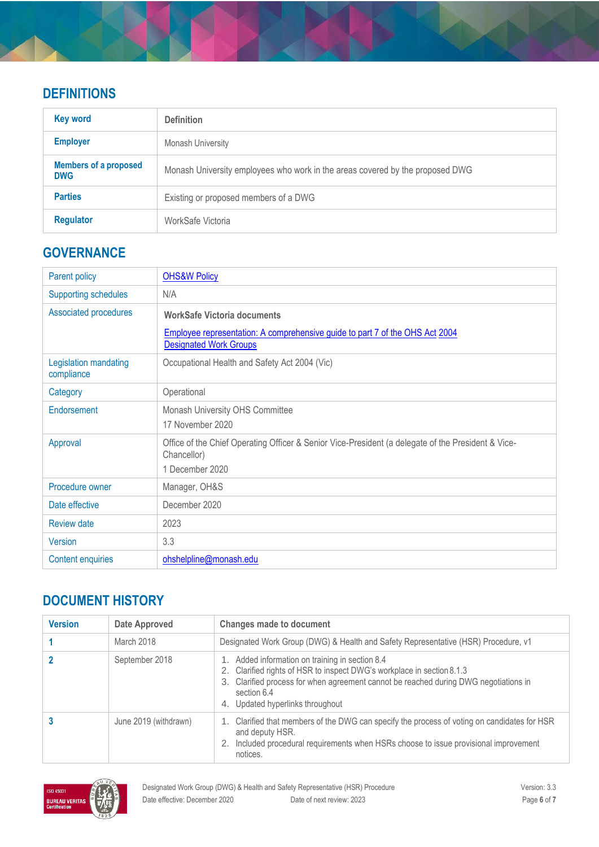### **DEFINITIONS**

| <b>Key word</b>                            | <b>Definition</b>                                                             |  |  |
|--------------------------------------------|-------------------------------------------------------------------------------|--|--|
| <b>Employer</b>                            | <b>Monash University</b>                                                      |  |  |
| <b>Members of a proposed</b><br><b>DWG</b> | Monash University employees who work in the areas covered by the proposed DWG |  |  |
| <b>Parties</b>                             | Existing or proposed members of a DWG                                         |  |  |
| <b>Regulator</b>                           | WorkSafe Victoria                                                             |  |  |

## **GOVERNANCE**

| <b>Parent policy</b>                | <b>OHS&amp;W Policy</b>                                                                                                                             |  |
|-------------------------------------|-----------------------------------------------------------------------------------------------------------------------------------------------------|--|
| <b>Supporting schedules</b>         | N/A                                                                                                                                                 |  |
| <b>Associated procedures</b>        | <b>WorkSafe Victoria documents</b><br>Employee representation: A comprehensive guide to part 7 of the OHS Act 2004<br><b>Designated Work Groups</b> |  |
| Legislation mandating<br>compliance | Occupational Health and Safety Act 2004 (Vic)                                                                                                       |  |
| Category                            | Operational                                                                                                                                         |  |
| Endorsement                         | Monash University OHS Committee<br>17 November 2020                                                                                                 |  |
| Approval                            | Office of the Chief Operating Officer & Senior Vice-President (a delegate of the President & Vice-<br>Chancellor)<br>1 December 2020                |  |
| Procedure owner                     | Manager, OH&S                                                                                                                                       |  |
| Date effective                      | December 2020                                                                                                                                       |  |
| <b>Review date</b>                  | 2023                                                                                                                                                |  |
| <b>Version</b>                      | 3.3                                                                                                                                                 |  |
| <b>Content enquiries</b>            | ohshelpline@monash.edu                                                                                                                              |  |

### **DOCUMENT HISTORY**

| <b>Version</b> | Date Approved         | <b>Changes made to document</b>                                                                                                                                                                                                                                      |
|----------------|-----------------------|----------------------------------------------------------------------------------------------------------------------------------------------------------------------------------------------------------------------------------------------------------------------|
|                | March 2018            | Designated Work Group (DWG) & Health and Safety Representative (HSR) Procedure, v1                                                                                                                                                                                   |
|                | September 2018        | 1. Added information on training in section 8.4<br>2. Clarified rights of HSR to inspect DWG's workplace in section 8.1.3<br>3. Clarified process for when agreement cannot be reached during DWG negotiations in<br>section 6.4<br>4. Updated hyperlinks throughout |
|                | June 2019 (withdrawn) | 1. Clarified that members of the DWG can specify the process of voting on candidates for HSR<br>and deputy HSR.<br>2. Included procedural requirements when HSRs choose to issue provisional improvement<br>notices.                                                 |